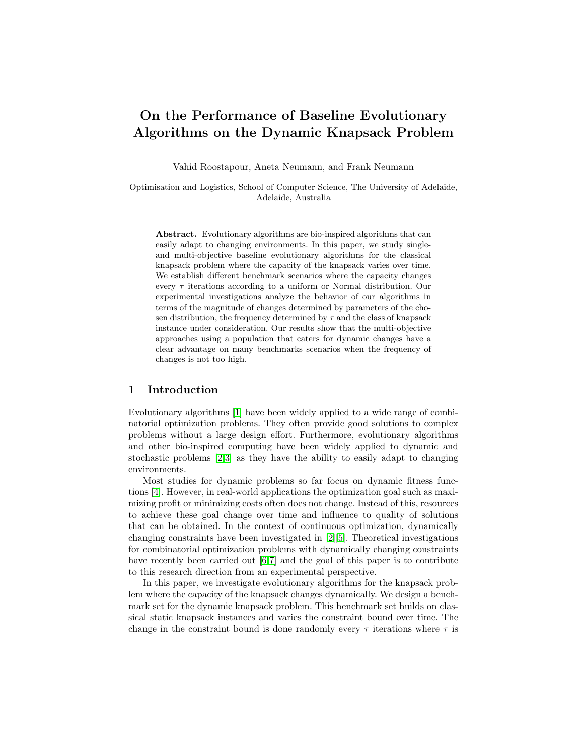# On the Performance of Baseline Evolutionary Algorithms on the Dynamic Knapsack Problem

Vahid Roostapour, Aneta Neumann, and Frank Neumann

Optimisation and Logistics, School of Computer Science, The University of Adelaide, Adelaide, Australia

Abstract. Evolutionary algorithms are bio-inspired algorithms that can easily adapt to changing environments. In this paper, we study singleand multi-objective baseline evolutionary algorithms for the classical knapsack problem where the capacity of the knapsack varies over time. We establish different benchmark scenarios where the capacity changes every  $\tau$  iterations according to a uniform or Normal distribution. Our experimental investigations analyze the behavior of our algorithms in terms of the magnitude of changes determined by parameters of the chosen distribution, the frequency determined by  $\tau$  and the class of knapsack instance under consideration. Our results show that the multi-objective approaches using a population that caters for dynamic changes have a clear advantage on many benchmarks scenarios when the frequency of changes is not too high.

### 1 Introduction

Evolutionary algorithms [\[1\]](#page-11-0) have been widely applied to a wide range of combinatorial optimization problems. They often provide good solutions to complex problems without a large design effort. Furthermore, evolutionary algorithms and other bio-inspired computing have been widely applied to dynamic and stochastic problems [\[2,](#page-11-1)[3\]](#page-11-2) as they have the ability to easily adapt to changing environments.

Most studies for dynamic problems so far focus on dynamic fitness functions [\[4\]](#page-11-3). However, in real-world applications the optimization goal such as maximizing profit or minimizing costs often does not change. Instead of this, resources to achieve these goal change over time and influence to quality of solutions that can be obtained. In the context of continuous optimization, dynamically changing constraints have been investigated in [\[2\]](#page-11-1)[\[5\]](#page-11-4). Theoretical investigations for combinatorial optimization problems with dynamically changing constraints have recently been carried out [\[6,](#page-11-5)[7\]](#page-11-6) and the goal of this paper is to contribute to this research direction from an experimental perspective.

In this paper, we investigate evolutionary algorithms for the knapsack problem where the capacity of the knapsack changes dynamically. We design a benchmark set for the dynamic knapsack problem. This benchmark set builds on classical static knapsack instances and varies the constraint bound over time. The change in the constraint bound is done randomly every  $\tau$  iterations where  $\tau$  is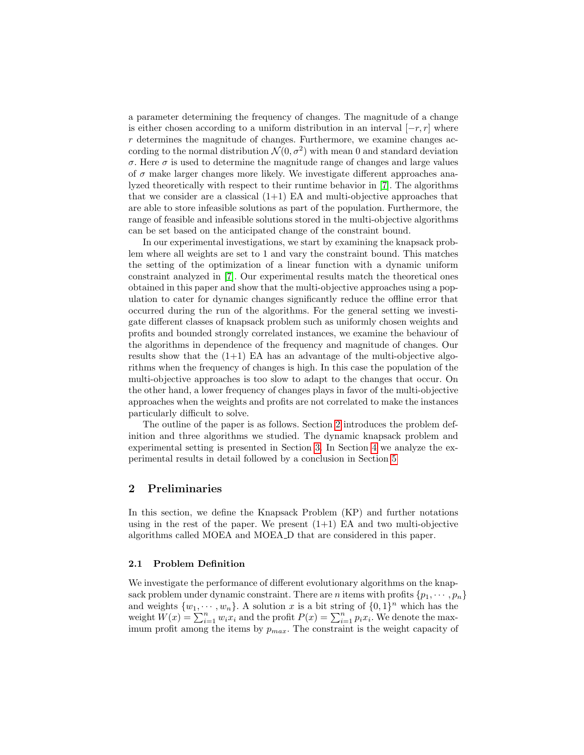a parameter determining the frequency of changes. The magnitude of a change is either chosen according to a uniform distribution in an interval  $[-r, r]$  where r determines the magnitude of changes. Furthermore, we examine changes according to the normal distribution  $\mathcal{N}(0, \sigma^2)$  with mean 0 and standard deviation  $\sigma$ . Here  $\sigma$  is used to determine the magnitude range of changes and large values of  $\sigma$  make larger changes more likely. We investigate different approaches analyzed theoretically with respect to their runtime behavior in [\[7\]](#page-11-6). The algorithms that we consider are a classical  $(1+1)$  EA and multi-objective approaches that are able to store infeasible solutions as part of the population. Furthermore, the range of feasible and infeasible solutions stored in the multi-objective algorithms can be set based on the anticipated change of the constraint bound.

In our experimental investigations, we start by examining the knapsack problem where all weights are set to 1 and vary the constraint bound. This matches the setting of the optimization of a linear function with a dynamic uniform constraint analyzed in [\[7\]](#page-11-6). Our experimental results match the theoretical ones obtained in this paper and show that the multi-objective approaches using a population to cater for dynamic changes significantly reduce the offline error that occurred during the run of the algorithms. For the general setting we investigate different classes of knapsack problem such as uniformly chosen weights and profits and bounded strongly correlated instances, we examine the behaviour of the algorithms in dependence of the frequency and magnitude of changes. Our results show that the  $(1+1)$  EA has an advantage of the multi-objective algorithms when the frequency of changes is high. In this case the population of the multi-objective approaches is too slow to adapt to the changes that occur. On the other hand, a lower frequency of changes plays in favor of the multi-objective approaches when the weights and profits are not correlated to make the instances particularly difficult to solve.

The outline of the paper is as follows. Section [2](#page-1-0) introduces the problem definition and three algorithms we studied. The dynamic knapsack problem and experimental setting is presented in Section [3.](#page-4-0) In Section [4](#page-7-0) we analyze the experimental results in detail followed by a conclusion in Section [5](#page-10-0)

### <span id="page-1-0"></span>2 Preliminaries

In this section, we define the Knapsack Problem (KP) and further notations using in the rest of the paper. We present  $(1+1)$  EA and two multi-objective algorithms called MOEA and MOEA D that are considered in this paper.

### 2.1 Problem Definition

We investigate the performance of different evolutionary algorithms on the knapsack problem under dynamic constraint. There are *n* items with profits  $\{p_1, \dots, p_n\}$ and weights  $\{w_1, \dots, w_n\}$ . A solution x is a bit string of  $\{0, 1\}^n$  which has the weight  $W(x) = \sum_{i=1}^{n} w_i x_i$  and the profit  $P(x) = \sum_{i=1}^{n} p_i x_i$ . We denote the maximum profit among the items by  $p_{max}$ . The constraint is the weight capacity of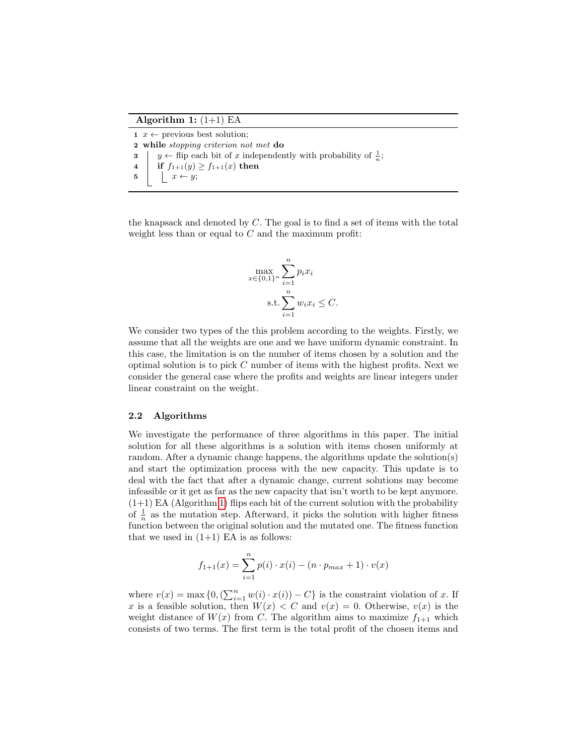Algorithm 1:  $(1+1)$  EA

 $x \leftarrow$  previous best solution; while stopping criterion not met do  $\left| y \leftarrow \text{flip each bit of } x \text{ independently with probability of } \frac{1}{n};$ 4 if  $f_{1+1}(y) \ge f_{1+1}(x)$  then  $\vert x \leftarrow y;$ 

<span id="page-2-0"></span>the knapsack and denoted by C. The goal is to find a set of items with the total weight less than or equal to  $C$  and the maximum profit:

$$
\max_{x \in \{0,1\}^n} \sum_{i=1}^n p_i x_i
$$
  
s.t. 
$$
\sum_{i=1}^n w_i x_i \le C.
$$

We consider two types of the this problem according to the weights. Firstly, we assume that all the weights are one and we have uniform dynamic constraint. In this case, the limitation is on the number of items chosen by a solution and the optimal solution is to pick C number of items with the highest profits. Next we consider the general case where the profits and weights are linear integers under linear constraint on the weight.

#### 2.2 Algorithms

We investigate the performance of three algorithms in this paper. The initial solution for all these algorithms is a solution with items chosen uniformly at random. After a dynamic change happens, the algorithms update the solution(s) and start the optimization process with the new capacity. This update is to deal with the fact that after a dynamic change, current solutions may become infeasible or it get as far as the new capacity that isn't worth to be kept anymore.  $(1+1)$  EA (Algorithm [1\)](#page-2-0) flips each bit of the current solution with the probability of  $\frac{1}{n}$  as the mutation step. Afterward, it picks the solution with higher fitness function between the original solution and the mutated one. The fitness function that we used in  $(1+1)$  EA is as follows:

$$
f_{1+1}(x) = \sum_{i=1}^{n} p(i) \cdot x(i) - (n \cdot p_{max} + 1) \cdot v(x)
$$

where  $v(x) = \max\{0, (\sum_{i=1}^n w(i) \cdot x(i)) - C\}$  is the constraint violation of x. If x is a feasible solution, then  $W(x) < C$  and  $v(x) = 0$ . Otherwise,  $v(x)$  is the weight distance of  $W(x)$  from C. The algorithm aims to maximize  $f_{1+1}$  which consists of two terms. The first term is the total profit of the chosen items and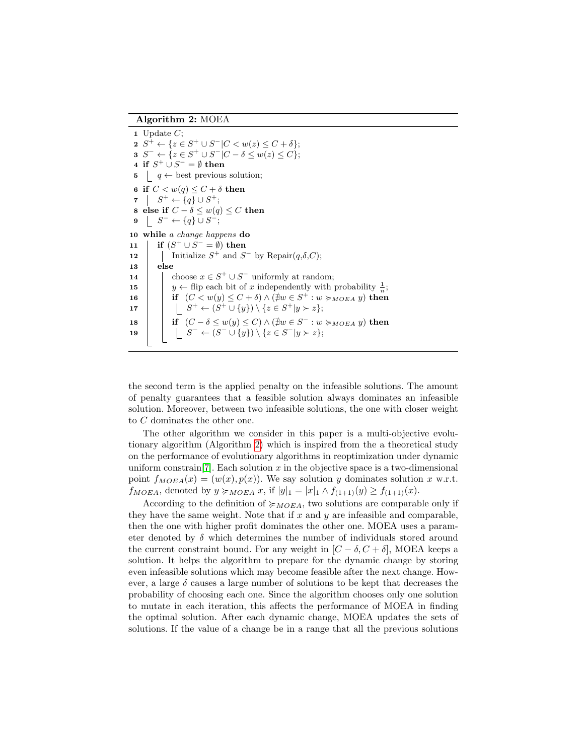### Algorithm 2: MOEA

1 Update  $C$ : 2  $S^+ \leftarrow \{ z \in S^+ \cup S^- | C < w(z) \leq C + \delta \};$ 3  $S^- \leftarrow \{ z \in S^+ \cup S^- | C - \delta \leq w(z) \leq C \};$ 4 if  $S^+ \cup S^- = \emptyset$  then 5  $\vert q \leftarrow$  best previous solution; 6 if  $C < w(q) \leq C + \delta$  then 7  $S^+ \leftarrow \{q\} \cup S^+;$ 8 else if  $C - \delta \leq w(q) \leq C$  then 9  $S^- \leftarrow \{q\} \cup S^-;$ 10 while a change happens do 11 | if  $(S^+ \cup S^- = \emptyset)$  then 12 | Initialize  $S^+$  and  $S^-$  by Repair $(q, \delta, C)$ ; 13 else 14 | choose  $x \in S^+ \cup S^-$  uniformly at random; 15  $\vert y \leftarrow$  flip each bit of x independently with probability  $\frac{1}{x}$ ; 16 if  $(C < w(y) \leq C + \delta) \wedge (\nexists w \in S^+ : w \succ_{MOEA} y)$  then 17  $\vert \vert \vert \vert S^+ \leftarrow (S^+ \cup \{y\}) \setminus \{z \in S^+ | y \succ z\};$ 18 if  $(C - \delta \leq w(y) \leq C) \wedge (\nexists w \in S^- : w \succcurlyeq_{MOEA} y)$  then 19 | | | *S*  $^{-} \leftarrow (S^{-} \cup \{y\}) \setminus \{z \in S^{-} | y \succ z\};$ 

<span id="page-3-0"></span>the second term is the applied penalty on the infeasible solutions. The amount of penalty guarantees that a feasible solution always dominates an infeasible solution. Moreover, between two infeasible solutions, the one with closer weight to C dominates the other one.

The other algorithm we consider in this paper is a multi-objective evolutionary algorithm (Algorithm [2\)](#page-3-0) which is inspired from the a theoretical study on the performance of evolutionary algorithms in reoptimization under dynamic uniform constrain  $[7]$ . Each solution x in the objective space is a two-dimensional point  $f_{MOEA}(x) = (w(x), p(x))$ . We say solution y dominates solution x w.r.t.  $f_{MOEA}$ , denoted by  $y \succcurlyeq_{MOEA} x$ , if  $|y|_1 = |x|_1 \wedge f_{(1+1)}(y) \geq f_{(1+1)}(x)$ .

According to the definition of  $\succ_{MOEA}$ , two solutions are comparable only if they have the same weight. Note that if  $x$  and  $y$  are infeasible and comparable, then the one with higher profit dominates the other one. MOEA uses a parameter denoted by  $\delta$  which determines the number of individuals stored around the current constraint bound. For any weight in  $[C - \delta, C + \delta]$ , MOEA keeps a solution. It helps the algorithm to prepare for the dynamic change by storing even infeasible solutions which may become feasible after the next change. However, a large  $\delta$  causes a large number of solutions to be kept that decreases the probability of choosing each one. Since the algorithm chooses only one solution to mutate in each iteration, this affects the performance of MOEA in finding the optimal solution. After each dynamic change, MOEA updates the sets of solutions. If the value of a change be in a range that all the previous solutions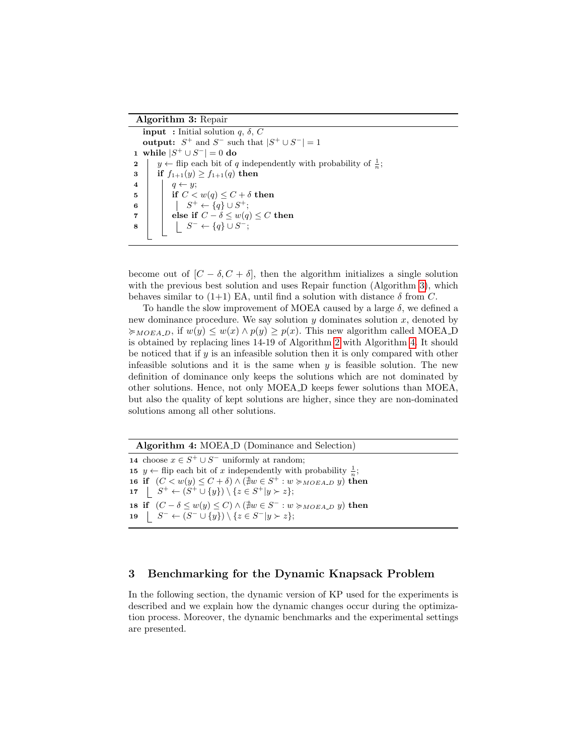### Algorithm 3: Repair

**input** : Initial solution  $q, \delta, C$ output:  $S^+$  and  $S^-$  such that  $|S^+ \cup S^-| = 1$ 1 while  $|S^+ \cup S^-| = 0$  do 2 |  $y \leftarrow$  flip each bit of q independently with probability of  $\frac{1}{n}$ ; 3 if  $f_{1+1}(y) \ge f_{1+1}(q)$  then 4 |  $q \leftarrow y;$ 5 if  $C < w(q) \leq C + \delta$  then 6  $\begin{array}{|c|c|c|c|c|}\n\hline\n6 & 1 & 1 & S^+ \leftarrow \{q\} \cup S^+; \end{array}$ 7 a degree if  $C - \delta \leq w(q) \leq C$  then  $\begin{array}{c|c|c|c|c} \mathbf{s} & & \mid & \mid & S^- \leftarrow \{q\} \cup S^-; \end{array}$ 

<span id="page-4-1"></span>become out of  $[C - \delta, C + \delta]$ , then the algorithm initializes a single solution with the previous best solution and uses Repair function (Algorithm [3\)](#page-4-1), which behaves similar to  $(1+1)$  EA, until find a solution with distance  $\delta$  from C.

To handle the slow improvement of MOEA caused by a large  $\delta$ , we defined a new dominance procedure. We say solution  $y$  dominates solution  $x$ , denoted by  $\geq_{MOEAD}$ , if  $w(y) \leq w(x) \wedge p(y) \geq p(x)$ . This new algorithm called MOEA\_D is obtained by replacing lines 14-19 of Algorithm [2](#page-3-0) with Algorithm [4.](#page-4-2) It should be noticed that if  $y$  is an infeasible solution then it is only compared with other infeasible solutions and it is the same when  $y$  is feasible solution. The new definition of dominance only keeps the solutions which are not dominated by other solutions. Hence, not only MOEA D keeps fewer solutions than MOEA, but also the quality of kept solutions are higher, since they are non-dominated solutions among all other solutions.

Algorithm 4: MOEA D (Dominance and Selection)

14 choose  $x \in S^+ \cup S^-$  uniformly at random; **15** y ← flip each bit of x independently with probability  $\frac{1}{n}$ ; 16 if  $(C < w(y) \le C + \delta) \wedge (\nexists w \in S^+ : w \succcurlyeq_{MOE A, D} y)$  then 17  $\left| S^+ \leftarrow (S^+ \cup \{y\}) \setminus \{z \in S^+ | y \succ z\};$ 18 if  $(C - \delta \leq w(y) \leq C) \wedge (\nexists w \in S^- : w \succcurlyeq_{MOEA\_D} y)$  then 19  $\left| S^- \leftarrow (S^- \cup \{y\}) \setminus \{z \in S^- | y \succ z\};$ 

# <span id="page-4-2"></span><span id="page-4-0"></span>3 Benchmarking for the Dynamic Knapsack Problem

In the following section, the dynamic version of KP used for the experiments is described and we explain how the dynamic changes occur during the optimization process. Moreover, the dynamic benchmarks and the experimental settings are presented.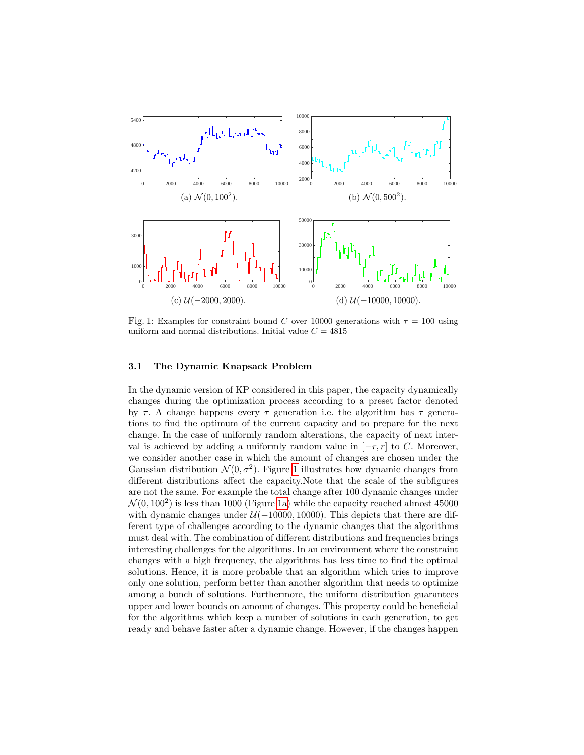<span id="page-5-0"></span>

Fig. 1: Examples for constraint bound C over 10000 generations with  $\tau = 100$  using uniform and normal distributions. Initial value  $C = 4815$ 

#### 3.1 The Dynamic Knapsack Problem

In the dynamic version of KP considered in this paper, the capacity dynamically changes during the optimization process according to a preset factor denoted by  $\tau$ . A change happens every  $\tau$  generation i.e. the algorithm has  $\tau$  generations to find the optimum of the current capacity and to prepare for the next change. In the case of uniformly random alterations, the capacity of next interval is achieved by adding a uniformly random value in  $[-r, r]$  to C. Moreover, we consider another case in which the amount of changes are chosen under the Gaussian distribution  $\mathcal{N}(0, \sigma^2)$ . Figure [1](#page-5-0) illustrates how dynamic changes from different distributions affect the capacity.Note that the scale of the subfigures are not the same. For example the total change after 100 dynamic changes under  $\mathcal{N}(0, 100^2)$  is less than 1000 (Figure [1a\)](#page-5-0) while the capacity reached almost 45000 with dynamic changes under  $\mathcal{U}(-10000, 10000)$ . This depicts that there are different type of challenges according to the dynamic changes that the algorithms must deal with. The combination of different distributions and frequencies brings interesting challenges for the algorithms. In an environment where the constraint changes with a high frequency, the algorithms has less time to find the optimal solutions. Hence, it is more probable that an algorithm which tries to improve only one solution, perform better than another algorithm that needs to optimize among a bunch of solutions. Furthermore, the uniform distribution guarantees upper and lower bounds on amount of changes. This property could be beneficial for the algorithms which keep a number of solutions in each generation, to get ready and behave faster after a dynamic change. However, if the changes happen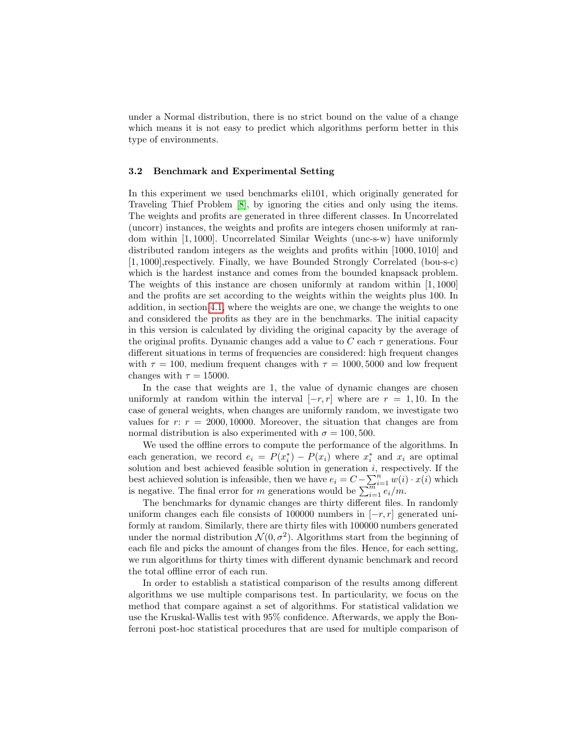under a Normal distribution, there is no strict bound on the value of a change which means it is not easy to predict which algorithms perform better in this type of environments.

#### 3.2 Benchmark and Experimental Setting

In this experiment we used benchmarks eli101, which originally generated for Traveling Thief Problem [\[8\]](#page-11-7), by ignoring the cities and only using the items. The weights and profits are generated in three different classes. In Uncorrelated (uncorr) instances, the weights and profits are integers chosen uniformly at random within [1, 1000]. Uncorrelated Similar Weights (unc-s-w) have uniformly distributed random integers as the weights and profits within [1000, 1010] and [1, 1000],respectively. Finally, we have Bounded Strongly Correlated (bou-s-c) which is the hardest instance and comes from the bounded knapsack problem. The weights of this instance are chosen uniformly at random within [1, 1000] and the profits are set according to the weights within the weights plus 100. In addition, in section [4.1,](#page-7-1) where the weights are one, we change the weights to one and considered the profits as they are in the benchmarks. The initial capacity in this version is calculated by dividing the original capacity by the average of the original profits. Dynamic changes add a value to  $C$  each  $\tau$  generations. Four different situations in terms of frequencies are considered: high frequent changes with  $\tau = 100$ , medium frequent changes with  $\tau = 1000, 5000$  and low frequent changes with  $\tau = 15000$ .

In the case that weights are 1, the value of dynamic changes are chosen uniformly at random within the interval  $[-r, r]$  where are  $r = 1, 10$ . In the case of general weights, when changes are uniformly random, we investigate two values for  $r: r = 2000, 10000$ . Moreover, the situation that changes are from normal distribution is also experimented with  $\sigma = 100, 500$ .

We used the offline errors to compute the performance of the algorithms. In each generation, we record  $e_i = P(x_i^*) - P(x_i)$  where  $x_i^*$  and  $x_i$  are optimal solution and best achieved feasible solution in generation  $i$ , respectively. If the best achieved solution is infeasible, then we have  $e_i = C - \sum_{i=1}^{n} w(i) \cdot x(i)$  which is negative. The final error for m generations would be  $\sum_{i=1}^{m} e_i/m$ .

The benchmarks for dynamic changes are thirty different files. In randomly uniform changes each file consists of 100000 numbers in  $[-r, r]$  generated uniformly at random. Similarly, there are thirty files with 100000 numbers generated under the normal distribution  $\mathcal{N}(0, \sigma^2)$ . Algorithms start from the beginning of each file and picks the amount of changes from the files. Hence, for each setting, we run algorithms for thirty times with different dynamic benchmark and record the total offline error of each run.

In order to establish a statistical comparison of the results among different algorithms we use multiple comparisons test. In particularity, we focus on the method that compare against a set of algorithms. For statistical validation we use the Kruskal-Wallis test with 95% confidence. Afterwards, we apply the Bonferroni post-hoc statistical procedures that are used for multiple comparison of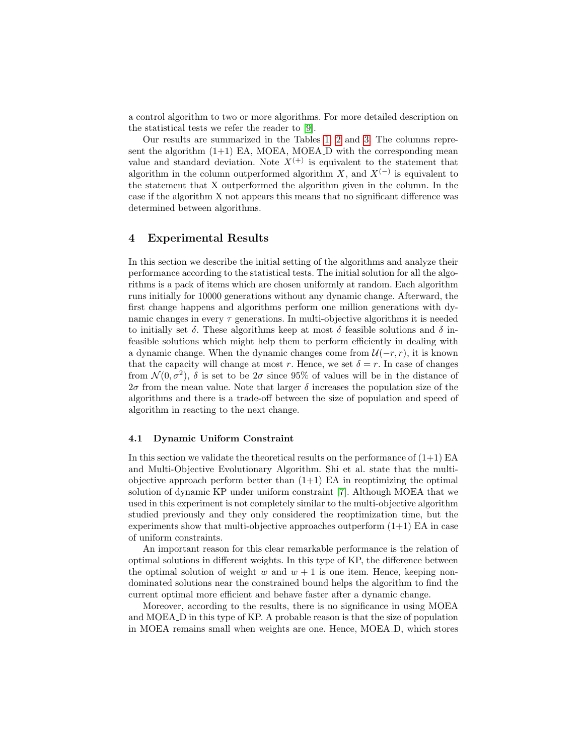a control algorithm to two or more algorithms. For more detailed description on the statistical tests we refer the reader to [\[9\]](#page-11-8).

Our results are summarized in the Tables [1,](#page-8-0) [2](#page-9-0) and [3.](#page-10-1) The columns represent the algorithm  $(1+1)$  EA, MOEA, MOEA\_D with the corresponding mean value and standard deviation. Note  $X^{(+)}$  is equivalent to the statement that algorithm in the column outperformed algorithm X, and  $X<sup>(−)</sup>$  is equivalent to the statement that X outperformed the algorithm given in the column. In the case if the algorithm X not appears this means that no significant difference was determined between algorithms.

# <span id="page-7-0"></span>4 Experimental Results

In this section we describe the initial setting of the algorithms and analyze their performance according to the statistical tests. The initial solution for all the algorithms is a pack of items which are chosen uniformly at random. Each algorithm runs initially for 10000 generations without any dynamic change. Afterward, the first change happens and algorithms perform one million generations with dynamic changes in every  $\tau$  generations. In multi-objective algorithms it is needed to initially set  $\delta$ . These algorithms keep at most  $\delta$  feasible solutions and  $\delta$  infeasible solutions which might help them to perform efficiently in dealing with a dynamic change. When the dynamic changes come from  $\mathcal{U}(-r, r)$ , it is known that the capacity will change at most r. Hence, we set  $\delta = r$ . In case of changes from  $\mathcal{N}(0, \sigma^2)$ ,  $\delta$  is set to be  $2\sigma$  since 95% of values will be in the distance of  $2\sigma$  from the mean value. Note that larger  $\delta$  increases the population size of the algorithms and there is a trade-off between the size of population and speed of algorithm in reacting to the next change.

#### <span id="page-7-1"></span>4.1 Dynamic Uniform Constraint

In this section we validate the theoretical results on the performance of  $(1+1)$  EA and Multi-Objective Evolutionary Algorithm. Shi et al. state that the multiobjective approach perform better than  $(1+1)$  EA in reoptimizing the optimal solution of dynamic KP under uniform constraint [\[7\]](#page-11-6). Although MOEA that we used in this experiment is not completely similar to the multi-objective algorithm studied previously and they only considered the reoptimization time, but the experiments show that multi-objective approaches outperform  $(1+1)$  EA in case of uniform constraints.

An important reason for this clear remarkable performance is the relation of optimal solutions in different weights. In this type of KP, the difference between the optimal solution of weight w and  $w + 1$  is one item. Hence, keeping nondominated solutions near the constrained bound helps the algorithm to find the current optimal more efficient and behave faster after a dynamic change.

Moreover, according to the results, there is no significance in using MOEA and MOEA D in this type of KP. A probable reason is that the size of population in MOEA remains small when weights are one. Hence, MOEA D, which stores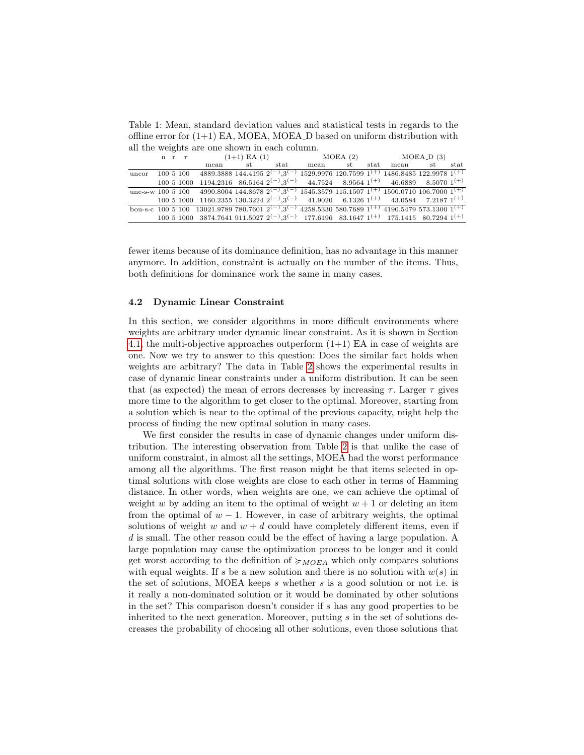<span id="page-8-0"></span>Table 1: Mean, standard deviation values and statistical tests in regards to the offline error for  $(1+1)$  EA, MOEA, MOEA<sub>-</sub>D based on uniform distribution with all the weights are one shown in each column.

|       |  |                                                                                                                                            |  |         |         | n r $\tau$ (1+1) EA (1) MOEA (2) MOEA_D (3) |           |    |      |
|-------|--|--------------------------------------------------------------------------------------------------------------------------------------------|--|---------|---------|---------------------------------------------|-----------|----|------|
|       |  | mean                                                                                                                                       |  | st stat | mean st |                                             | stat mean | st | stat |
| uncor |  | $100\ 5\ 100\quad 4889.3888\ 144.4195\ 2^{(-)}\,3^{(-)}\ 1529.9976\ 120.7599\ 1^{(+)}\ 1486.8485\ 122.9978\ 1^{(+)}$                       |  |         |         |                                             |           |    |      |
|       |  | $100\ 5\ 1000\ 1194.2316\ 86.5164\ 2^{(-)}\cdot3^{(-)}\ 44.7524\ 8.9564\ 1^{(+)}\ 46.6889\ 8.5070\ 1^{(+)}$                                |  |         |         |                                             |           |    |      |
|       |  | unc-s-w 100 5 100 4990.8004 144.8678 $2^{(-)}$ , 3 <sup>(-)</sup> 1545.3579 115.1507 1 <sup>(+)</sup> 1500.0710 106.7000 1 <sup>(+)</sup>  |  |         |         |                                             |           |    |      |
|       |  | $100\ 5\ 1000\ 1160.2355\ 130.3224\ 2^{(-)}.3^{(-)}\ 41.9020\ 6.1326\ 1^{(+)}\ 43.0584\ 7.2187\ 1^{(+)}$                                   |  |         |         |                                             |           |    |      |
|       |  | bou-s-c 100 5 100 13021.9789 780.7601 $2^{(-)}$ , 3 <sup>(-)</sup> 4258.5330 580.7689 1 <sup>(+)</sup> 4190.5479 573.1300 1 <sup>(+)</sup> |  |         |         |                                             |           |    |      |
|       |  | $100\ 5\ 1000\ 3874.7641\ 911.5027\ 2^{(-)}\ 3^{(-)}\ 177.6196\ 83.1647\ 1^{(+)}\ 175.1415\ 80.7294\ 1^{(+)}$                              |  |         |         |                                             |           |    |      |

fewer items because of its dominance definition, has no advantage in this manner anymore. In addition, constraint is actually on the number of the items. Thus, both definitions for dominance work the same in many cases.

### 4.2 Dynamic Linear Constraint

In this section, we consider algorithms in more difficult environments where weights are arbitrary under dynamic linear constraint. As it is shown in Section [4.1,](#page-7-1) the multi-objective approaches outperform  $(1+1)$  EA in case of weights are one. Now we try to answer to this question: Does the similar fact holds when weights are arbitrary? The data in Table [2](#page-9-0) shows the experimental results in case of dynamic linear constraints under a uniform distribution. It can be seen that (as expected) the mean of errors decreases by increasing  $\tau$ . Larger  $\tau$  gives more time to the algorithm to get closer to the optimal. Moreover, starting from a solution which is near to the optimal of the previous capacity, might help the process of finding the new optimal solution in many cases.

We first consider the results in case of dynamic changes under uniform distribution. The interesting observation from Table [2](#page-9-0) is that unlike the case of uniform constraint, in almost all the settings, MOEA had the worst performance among all the algorithms. The first reason might be that items selected in optimal solutions with close weights are close to each other in terms of Hamming distance. In other words, when weights are one, we can achieve the optimal of weight w by adding an item to the optimal of weight  $w + 1$  or deleting an item from the optimal of  $w - 1$ . However, in case of arbitrary weights, the optimal solutions of weight w and  $w + d$  could have completely different items, even if d is small. The other reason could be the effect of having a large population. A large population may cause the optimization process to be longer and it could get worst according to the definition of  $\succcurlyeq_{MOEA}$  which only compares solutions with equal weights. If s be a new solution and there is no solution with  $w(s)$  in the set of solutions, MOEA keeps s whether s is a good solution or not i.e. is it really a non-dominated solution or it would be dominated by other solutions in the set? This comparison doesn't consider if s has any good properties to be inherited to the next generation. Moreover, putting  $s$  in the set of solutions decreases the probability of choosing all other solutions, even those solutions that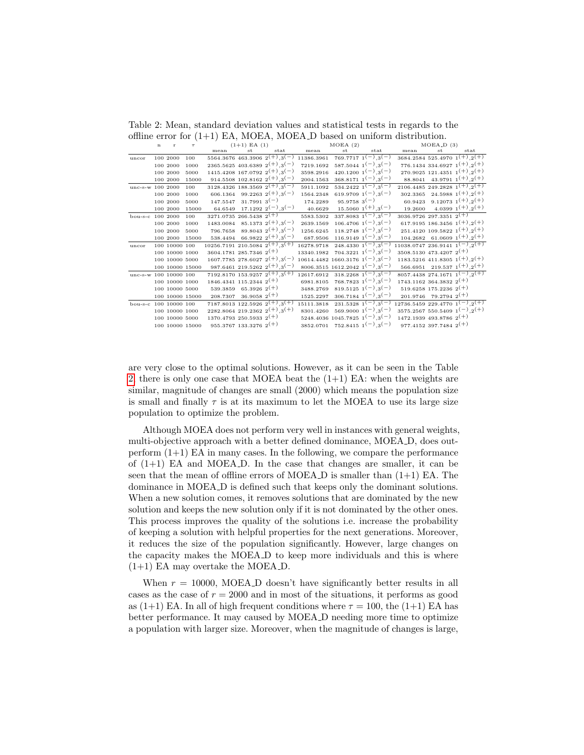<span id="page-9-0"></span>Table 2: Mean, standard deviation values and statistical tests in regards to the offline error for  $(1+1)$  EA, MOEA, MOEA. D based on uniform distribution.

|                       | $\bf n$ | $\mathbf{r}$   | $\tau$          | $(1+1)$ EA $(1)$                      |                                      |                                                   |                                         | MOEA(2)                 |                                               | $MOEA$ <sub>-D</sub> $(3)$               |                               |                                                       |
|-----------------------|---------|----------------|-----------------|---------------------------------------|--------------------------------------|---------------------------------------------------|-----------------------------------------|-------------------------|-----------------------------------------------|------------------------------------------|-------------------------------|-------------------------------------------------------|
|                       |         |                |                 | mean                                  | st                                   | stat                                              | mean                                    | st                      | stat                                          | mean                                     | st                            | stat                                                  |
| uncor                 |         | 100 2000       | 100             |                                       |                                      | $5564.3676$ $463.3906$ $2^{(+)}$ , $3^{(-)}$      | 11386.3961                              |                         | $769.7717 \; 1^{-1}$                          |                                          |                               | 3684.2584 525.4970 $1^{(+)}$ , $2^{(+)}$              |
|                       |         | 100 2000       | 1000            |                                       |                                      | 2365.5625 403.6389 $2^{(+)}$ , 3 <sup>(-)</sup>   | 7219.1692                               |                         | $587.5044 \; 1^{(-)}.3^{(-)}$                 |                                          |                               | 776.1434 334.6927 $1^{(+)}$ ,2 <sup>(+)</sup>         |
|                       |         | 100 2000       | 5000            |                                       |                                      | $1415.4208$ 167.0792 $2^{(+)}$ , 3 <sup>(-)</sup> | 3598.2916                               |                         | $420.1200 \t1^{-}$ , 3 <sup>(-)</sup>         |                                          |                               | 270.9025 121.4351 $1^{(+)}$ , $2^{(+)}$               |
|                       |         | 100 2000       | 15000           |                                       |                                      | $914.5508$ 102.8162 $2^{(+)}$ ,3 <sup>(-)</sup>   | 2004.1563                               |                         | $368.8171~1(-)$ , 3(-)                        |                                          |                               | 88.8041 43.9791 $1^{(+)}$ , $2^{(+)}$                 |
| unc-s-w 100 2000      |         |                | 100             |                                       |                                      | 3128.4326 188.3569 $2^{(+)}$ , 3 <sup>(-)</sup>   | 5911.1092                               |                         | $534.2422 \; 1(-) \; 3(-)$                    |                                          |                               | 2106.4485 249.2828 $1^{\overline{(+)}$ , $2^{(+)}$    |
|                       |         | 100 2000       | 1000            |                                       |                                      | 606.1364 99.2263 $2^{(+)}$ , 3 <sup>(-)</sup>     | 1564.2348                               |                         | 619.9709 $1(-)$ , $3(-)$                      |                                          |                               | 302.3365    24.5988 $1(+)$ , $2(+)$                   |
|                       |         | 100 2000       | 5000            |                                       | $147.5547$ 31.7991 3 <sup>(-)</sup>  |                                                   | 174.2289                                | $95.9758 \text{ } 3(-)$ |                                               | 60.9423                                  |                               | 9.12073 $1^{(+)}$ , $2^{(+)}$                         |
|                       |         | 100 2000       | 15000           |                                       |                                      | 64.6549 17.1292 $2^{(-)}$ , 3 <sup>(-)</sup>      | 40.6629                                 |                         | $15.5060 \t1(+)$ , 3(-)                       | 19.2600                                  |                               | 4.0399 $1^{(+)}$ , $2^{(+)}$                          |
| $bou-s-c$             |         | 100 2000       | 100             | $3271.0735$ 266.5438 $2^{(+)}$        |                                      |                                                   | 5583.5302                               |                         | $337.8083 \overline{1}(-) .3(-)$              | $3036.9726$ $297.3351$ $2^{(+)}$         |                               |                                                       |
|                       |         | 100 2000       | 1000            |                                       |                                      | 1483.0084 85.1373 $2^{(+)}$ , 3 <sup>(-)</sup>    | 2639.1569                               |                         | $106.4706$ $1(-)$ , $3(-)$                    |                                          |                               | 617.9195 186.3456 $1^{(+)}$ ,2 <sup>(+)</sup>         |
|                       |         | 100 2000       | 5000            |                                       |                                      | 796.7658 89.8043 $2^{(+)}$ , 3 <sup>(-)</sup>     | 1256.6245                               |                         | $118.2748$ 1 <sup>(-)</sup> ,3 <sup>(-)</sup> |                                          |                               | 251.4120 109.5822 $1^{(+)}$ , $2^{(+)}$               |
|                       |         | 100 2000       | 15000           |                                       |                                      | 538.4494 66.9822 $2^{(+)}$ , 3 <sup>(-)</sup>     | 687.9506                                |                         | $116.9149$ $1(-)$ , $3(-)$                    |                                          |                               | $104.2682$ 61.0609 1 <sup>(+)</sup> ,2 <sup>(+)</sup> |
| uncor                 |         | 100 10000 100  |                 | $10256.7191210.50842^{(+)}.3^{(+)}$   |                                      |                                                   | 16278.9718                              |                         | $248.4330 \frac{1}{1}(-)$ , 3(-)              | $11038.0747236.91411^{-(-)}$ , $2^{(+)}$ |                               |                                                       |
|                       |         | 100 10000 1000 |                 | $3604.1781$ 285.7346 $2^{(+)}$        |                                      |                                                   | $13340.1982$ $704.3221$ $1(-)$ , $3(-)$ |                         |                                               | 3508.5130 473.4207 $2^{(+)}$             |                               |                                                       |
|                       |         | 100 10000 5000 |                 |                                       |                                      | $1607.7785$ 278.6027 $2^{(+)}$ , 3 <sup>(-)</sup> | $10614.4482$ 1660.3176 $1(-)$ , 3(-)    |                         |                                               |                                          |                               | 1183.5216 411.8305 $1^{(+)}$ , $2^{(+)}$              |
|                       |         |                | 100 10000 15000 |                                       |                                      | 987.6461 219.5262 $2^{(+)}$ ,3 <sup>(-)</sup>     |                                         |                         | 8006.3515 1612.2042 $1(-)$ , 3(-)             |                                          |                               | 566.6951 219.537 $1^{(+)}$ , $2^{(+)}$                |
| unc-s-w 100 10000 100 |         |                |                 |                                       |                                      | 7192.8170 153.9257 $2^{(+)}$ , $3^{(+)}$          | $12617.6912$ $318.2268$ $1(-)$ , $3(-)$ |                         |                                               |                                          |                               | 8057.4438 274.1671 $1(-)$ , $2(+)$                    |
|                       |         | 100 10000 1000 |                 | $1846.4341$ 115.2344 2 <sup>(+)</sup> |                                      |                                                   | 6981.8105                               |                         | $768.7823 \t1(-)$ , 3(-)                      | $1743.1162$ 364.3832 $2^{(+)}$           |                               |                                                       |
|                       |         | 100 10000 5000 |                 |                                       | $539.3859$ 65.3926 2 <sup>(+)</sup>  |                                                   | 3488.2769                               |                         | $819.5125$ $1(-)$ , $3(-)$                    |                                          | $519.6258$ 175.2236 $2^{(+)}$ |                                                       |
|                       |         |                | 100 10000 15000 |                                       | $208.7307$ 36.9058 $2^{(+)}$         |                                                   | 1525.2297                               |                         | $306.7184 \; 1^{(-)} \; 3^{(-)}$              |                                          | $201.9746$ 79.2794 $2^{(+)}$  |                                                       |
| bou-s-c 100 10000 100 |         |                |                 |                                       |                                      | 7187.8013 122.5926 $2^{(+)}$ .3 <sup>(+)</sup>    | 15111.3818                              |                         | $231.5328 \t1(-) .3(-)$                       | 12736.5459 229.4770 $1(-)$ , $2(+)$      |                               |                                                       |
|                       |         | 100 10000 1000 |                 |                                       |                                      | 2282.8064 219.2362 $2^{(+)}$ , 3 <sup>(+)</sup>   | 8301.4260                               |                         | $569.9000 \ (1(-),3(-))$                      |                                          |                               | 3575.2567 550.5409 $1(-)$ , $2(+)$                    |
|                       |         | 100 10000 5000 |                 | $1370.4793$ 250.5933 2 <sup>(+)</sup> |                                      |                                                   |                                         |                         | 5248.4036 1045.7825 $1(-)$ , 3(-)             | $1472.1939$ 493.8786 $2(+)$              |                               |                                                       |
|                       |         |                | 100 10000 15000 |                                       | $955.3767$ 133.3276 2 <sup>(+)</sup> |                                                   |                                         |                         | 3852.0701 752.8415 $1(-)$ , $3(-)$            |                                          | 977.4152 397.7484 $2^{(+)}$   |                                                       |

are very close to the optimal solutions. However, as it can be seen in the Table [2,](#page-9-0) there is only one case that MOEA beat the  $(1+1)$  EA: when the weights are similar, magnitude of changes are small (2000) which means the population size is small and finally  $\tau$  is at its maximum to let the MOEA to use its large size population to optimize the problem.

Although MOEA does not perform very well in instances with general weights, multi-objective approach with a better defined dominance, MOEA D, does outperform  $(1+1)$  EA in many cases. In the following, we compare the performance of  $(1+1)$  EA and MOEA<sub>-D</sub>. In the case that changes are smaller, it can be seen that the mean of offline errors of MOEA  $\overline{D}$  is smaller than  $(1+1)$  EA. The dominance in MOEA D is defined such that keeps only the dominant solutions. When a new solution comes, it removes solutions that are dominated by the new solution and keeps the new solution only if it is not dominated by the other ones. This process improves the quality of the solutions i.e. increase the probability of keeping a solution with helpful properties for the next generations. Moreover, it reduces the size of the population significantly. However, large changes on the capacity makes the MOEA D to keep more individuals and this is where  $(1+1)$  EA may overtake the MOEA<sub>-D</sub>.

When  $r = 10000$ , MOEA\_D doesn't have significantly better results in all cases as the case of  $r = 2000$  and in most of the situations, it performs as good as  $(1+1)$  EA. In all of high frequent conditions where  $\tau = 100$ , the  $(1+1)$  EA has better performance. It may caused by MOEA D needing more time to optimize a population with larger size. Moreover, when the magnitude of changes is large,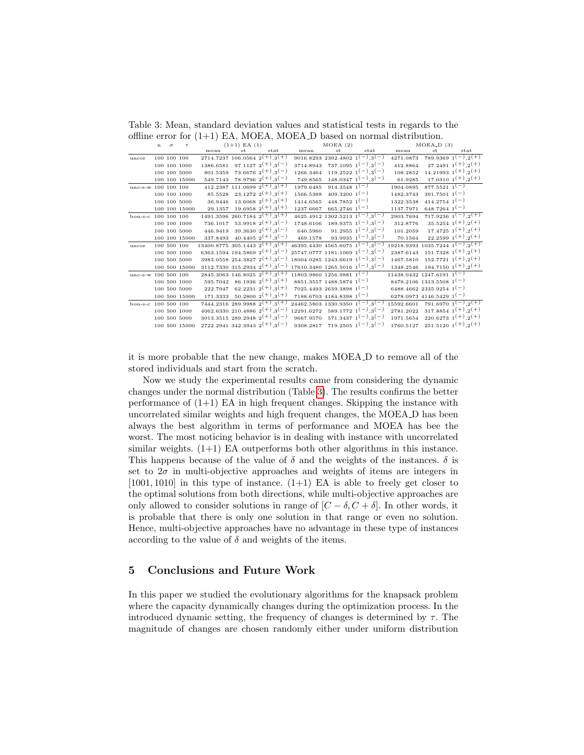<span id="page-10-1"></span>Table 3: Mean, standard deviation values and statistical tests in regards to the offline error for  $(1+1)$  EA, MOEA, MOEA D based on normal distribution.

|                     | $\mathbf n$ | $\sigma$ | $\tau$        | $(1+1)$ EA $(1)$                                  |    |                                                   | MOEA(2)                                                   |                                        |                                        | $MOEA$ <sub>-D</sub> $(3)$                                     |                                        |                                              |
|---------------------|-------------|----------|---------------|---------------------------------------------------|----|---------------------------------------------------|-----------------------------------------------------------|----------------------------------------|----------------------------------------|----------------------------------------------------------------|----------------------------------------|----------------------------------------------|
|                     |             |          |               | mean                                              | st | stat                                              | mean                                                      | st                                     | $_{\rm stat}$                          | mean                                                           | st                                     | stat                                         |
| uncor               |             |          | 100 100 100   |                                                   |    | $2714.7237$ 106.0564 $2^{(+)}$ , $3^{(+)}$        |                                                           | 9016.8293 2392.4802 $1(-)$ , $3(-)$    |                                        | 4271.0873                                                      |                                        | 789.9369 $1(-)$ $2(+)$                       |
|                     |             |          | 100 100 1000  |                                                   |    | 1386.6581 97.1127 $2^{(+)}$ , 3 <sup>(-)</sup>    | 3714.8943                                                 |                                        | $737.1095$ $1(-)$ $3(-)$               | 412.8864                                                       |                                        | $27.2491\ 1^{(+)}.2^{(+)}$                   |
|                     |             |          | 100 100 5000  |                                                   |    | 801.5359 73.6676 $2^{(+)}$ , 3 <sup>(-)</sup>     | 1266.3464                                                 |                                        | $119.2522 \t1^{-(-)} \t3^{-(-)}$       | 108.2852                                                       |                                        | $14.21993 \t1(+)$ , 2 <sup>(+)</sup>         |
|                     |             |          | 100 100 15000 |                                                   |    | 549.7143 78.9796 $2^{(+)}$ , 3 <sup>(-)</sup>     | 749.8565                                                  |                                        | $148.0347 \; 1(-)$ , 3(-)              | 61.9285                                                        |                                        | $17.0310 \t1(+) \t2(+)$                      |
| unc-s-w 100 100 100 |             |          |               |                                                   |    | 412.2387 111.0699 $2^{(+)}$ , 3 <sup>(+)</sup>    | 1979.6485                                                 | 914.3548 $1^{(-)}$                     |                                        | 1904.0895                                                      | 877.5521 $1(-)$                        |                                              |
|                     |             |          | 100 100 1000  |                                                   |    | 85.5528 23.1272 $2^{(+)}$ , 3 <sup>(+)</sup>      | 1566.5388                                                 | $409.3200 \text{ 1}(-)$                |                                        | 1482.3743                                                      | $391.7501 \; 1(-)$                     |                                              |
|                     |             |          | 100 100 5000  | 36.9446                                           |    | $13.6068\ 2^{(+)}.3^{(+)}$                        | 1414.6565                                                 | $448.78521^{(-)}$                      |                                        | 1322.3538                                                      | $414.2754 \; 1(-)$                     |                                              |
|                     |             |          | 100 100 15000 | 29.1357                                           |    | $19.6958 \t2^{(+)}$ , 3 <sup>(+)</sup>            | 1237.6667                                                 | $665.2746$ 1 <sup>(-)</sup>            |                                        | 1137.7971                                                      | $648.7264 \; 1^{(-)}$                  |                                              |
| bou-s-c 100 100 100 |             |          |               |                                                   |    | $1491.3596$ 260.7184 $2^{(+)}$ , 3 <sup>(+)</sup> |                                                           | $4625.4912$ 1302.5213 $1(-)$ , $3(-)$  |                                        | 2903.7694                                                      |                                        | $717.9236 \t1(-) \t2(+)$                     |
|                     |             |          | 100 100 1000  |                                                   |    | 736.1017 53.9918 $2^{(+)}$ , 3 <sup>(-)</sup>     |                                                           |                                        | $1748.6106$ $189.9375$ $1(-)$ , $3(-)$ | 312.8776                                                       |                                        | 35.5254 $1^{(+)}$ , $2^{(+)}$                |
|                     |             |          | 100 100 5000  | 446.9419                                          |    | $39.3630\ 2^{(+)}$ , $3^{(-)}$                    | 640.5960                                                  |                                        | $91.2955$ $1(-)$ $3(-)$                | 101.2059                                                       |                                        | $17.4725$ $1^{(+)}$ , $2^{(+)}$              |
|                     |             |          | 100 100 15000 |                                                   |    | 337.8493 40.4405 $2^{(+)}$ , 3 <sup>(-)</sup>     | 469.1578                                                  |                                        | 93.9935 $1(-)$ , $3(-)$                | 70.1564                                                        |                                        | $22.2599\ 1^{(+)}\ 2^{(+)}$                  |
| uncor               |             |          | 100 500 100   | $13400.8775$ 305.1443 $2^{(+)}$ .3 <sup>(+)</sup> |    |                                                   | 46395.4430 4565.6075 $\overline{1(-),3(-)}$               |                                        |                                        | 19218.9393 1035.7244 $1^{(-)}$ , $2^{(+)}$                     |                                        |                                              |
|                     |             |          | 100 500 1000  |                                                   |    | 6363.1594 194.5869 $2^{(+)}$ , 3 <sup>(-)</sup>   | $25747.0777$ 1181.1069 1 <sup>(-)</sup> ,3 <sup>(-)</sup> |                                        |                                        |                                                                |                                        |                                              |
|                     |             |          | 100 500 5000  |                                                   |    | 3983.0558 254.3827 $2^{(+)}$ , 3 <sup>(-)</sup>   | $18004.0285$ 1243.6619 $1(-)$ , 3(-)                      |                                        |                                        |                                                                |                                        | $1467.5810$ $152.7721$ $1^{(+)}$ , $2^{(+)}$ |
|                     |             |          | 100 500 15000 |                                                   |    | $3112.7330$ $315.2934$ $2^{(+)}$ , $3^{(-)}$      | $17610.3480$ $1265.5016$ $1(-)$ , $3(-)$                  |                                        |                                        |                                                                |                                        | $1348.2546$ $194.7150$ $1^{(+)}$ , $2^{(+)}$ |
| unc-s-w 100 500 100 |             |          |               |                                                   |    | $2845.3063$ $146.8025$ $2^{(+)}$ , $3^{(+)}$      | $11803.9860$ $1256.9881$ $1(-)$                           |                                        |                                        | $11438.0432$ $1247.6191$ $1(-)$                                |                                        |                                              |
|                     |             |          | 100 500 1000  |                                                   |    | 595.7042 86.1936 $2^{(+)}$ , 3 <sup>(+)</sup>     |                                                           | $8851.3557$ 1488.5874 1 <sup>(-)</sup> |                                        |                                                                | $8478.2106$ 1313.5508 1 <sup>(-)</sup> |                                              |
|                     |             |          | 100 500 5000  |                                                   |    | $222.7947$ 62.2231 $2^{(+)}$ , 3 <sup>(+)</sup>   |                                                           | $7025.4493$ 2639.3898 1 <sup>(-)</sup> |                                        |                                                                | 6488.4662 2335.9254 $1(-)$             |                                              |
|                     |             |          | 100 500 15000 |                                                   |    | 171.3333 50.2800 $2^{(+)}$ , 3 <sup>(+)</sup>     |                                                           | 7188.6703 4184.8398 $1(-)$             |                                        |                                                                | 6278.0973 4146.5429 $1^{(-)}$          |                                              |
| $bou-s-c$           | 100 500 100 |          |               |                                                   |    | $7444.2316$ 289.9988 $2^{(+)}$ , 3 <sup>(+)</sup> | $24462.5803$ 1330.9350 $1(-)$ , $3(-)$                    |                                        |                                        | 15592.6601 791.6970 $1^{\overline{(-)}$ , $2^{\overline{(+)}}$ |                                        |                                              |
|                     |             |          | 100 500 1000  |                                                   |    | 4062.6330 210.4886 $2^{(+)}$ ,3 <sup>(-)</sup>    | 12291.6272 589.1772 $1(-)$ , 3(-)                         |                                        |                                        |                                                                |                                        | 2781.2022 317.8854 $1^{(+)}$ , $2^{(+)}$     |
|                     |             |          | 100 500 5000  |                                                   |    | 3013.3515 289.2948 $2^{(+)}$ ,3 <sup>(-)</sup>    | 9667.9570                                                 |                                        | $571.3437$ $1(-)$ , $3(-)$             |                                                                |                                        | 1971.5654 220.6273 $1^{(+)}$ , $2^{(+)}$     |
|                     |             |          | 100 500 15000 |                                                   |    | $2722.2941$ 342.3943 $2^{(+)}$ , 3 <sup>(-)</sup> |                                                           | 9308.2817 719.2505 $1(-)$ , 3(-)       |                                        |                                                                |                                        | $1760.5127$ $251.5120$ $1^{(+)}$ , $2^{(+)}$ |

it is more probable that the new change, makes MOEA D to remove all of the stored individuals and start from the scratch.

Now we study the experimental results came from considering the dynamic changes under the normal distribution (Table [3\)](#page-10-1). The results confirms the better performance of  $(1+1)$  EA in high frequent changes. Skipping the instance with uncorrelated similar weights and high frequent changes, the MOEA D has been always the best algorithm in terms of performance and MOEA has bee the worst. The most noticing behavior is in dealing with instance with uncorrelated similar weights.  $(1+1)$  EA outperforms both other algorithms in this instance. This happens because of the value of  $\delta$  and the weights of the instances.  $\delta$  is set to  $2\sigma$  in multi-objective approaches and weights of items are integers in  $[1001, 1010]$  in this type of instance.  $(1+1)$  EA is able to freely get closer to the optimal solutions from both directions, while multi-objective approaches are only allowed to consider solutions in range of  $[C - \delta, C + \delta]$ . In other words, it is probable that there is only one solution in that range or even no solution. Hence, multi-objective approaches have no advantage in these type of instances according to the value of  $\delta$  and weights of the items.

### <span id="page-10-0"></span>5 Conclusions and Future Work

In this paper we studied the evolutionary algorithms for the knapsack problem where the capacity dynamically changes during the optimization process. In the introduced dynamic setting, the frequency of changes is determined by  $\tau$ . The magnitude of changes are chosen randomly either under uniform distribution